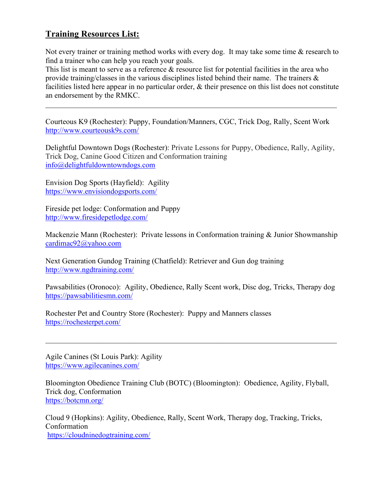## Training Resources List:

Not every trainer or training method works with every dog. It may take some time & research to find a trainer who can help you reach your goals.

This list is meant to serve as a reference & resource list for potential facilities in the area who provide training/classes in the various disciplines listed behind their name. The trainers & facilities listed here appear in no particular order, & their presence on this list does not constitute an endorsement by the RMKC.

Courteous K9 (Rochester): Puppy, Foundation/Manners, CGC, Trick Dog, Rally, Scent Work http://www.courteousk9s.com/

Delightful Downtown Dogs (Rochester): Private Lessons for Puppy, Obedience, Rally, Agility, Trick Dog, Canine Good Citizen and Conformation training info@delightfuldowntowndogs.com

Envision Dog Sports (Hayfield): Agility https://www.envisiondogsports.com/

Fireside pet lodge: Conformation and Puppy http://www.firesidepetlodge.com/

Mackenzie Mann (Rochester): Private lessons in Conformation training & Junior Showmanship cardimac92@yahoo.com

Next Generation Gundog Training (Chatfield): Retriever and Gun dog training http://www.ngdtraining.com/

Pawsabilities (Oronoco): Agility, Obedience, Rally Scent work, Disc dog, Tricks, Therapy dog https://pawsabilitiesmn.com/

Rochester Pet and Country Store (Rochester): Puppy and Manners classes https://rochesterpet.com/

Agile Canines (St Louis Park): Agility https://www.agilecanines.com/

Bloomington Obedience Training Club (BOTC) (Bloomington): Obedience, Agility, Flyball, Trick dog, Conformation https://botcmn.org/

Cloud 9 (Hopkins): Agility, Obedience, Rally, Scent Work, Therapy dog, Tracking, Tricks, Conformation https://cloudninedogtraining.com/